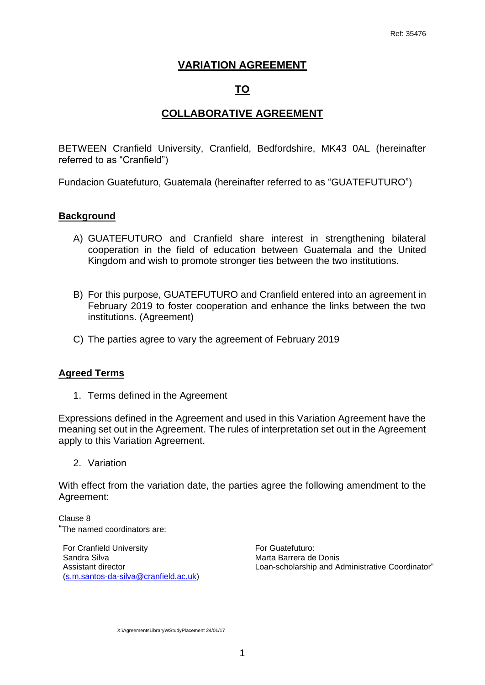## **VARIATION AGREEMENT**

# **TO**

## **COLLABORATIVE AGREEMENT**

BETWEEN Cranfield University, Cranfield, Bedfordshire, MK43 0AL (hereinafter referred to as "Cranfield")

Fundacion Guatefuturo, Guatemala (hereinafter referred to as "GUATEFUTURO")

#### **Background**

- A) GUATEFUTURO and Cranfield share interest in strengthening bilateral cooperation in the field of education between Guatemala and the United Kingdom and wish to promote stronger ties between the two institutions.
- B) For this purpose, GUATEFUTURO and Cranfield entered into an agreement in February 2019 to foster cooperation and enhance the links between the two institutions. (Agreement)
- C) The parties agree to vary the agreement of February 2019

#### **Agreed Terms**

1. Terms defined in the Agreement

Expressions defined in the Agreement and used in this Variation Agreement have the meaning set out in the Agreement. The rules of interpretation set out in the Agreement apply to this Variation Agreement.

2. Variation

With effect from the variation date, the parties agree the following amendment to the Agreement:

Clause 8 "The named coordinators are:

For Cranfield University Sandra Silva Assistant director (s.m.santos-da-silva@cranfield.ac.uk)

For Guatefuturo: Marta Barrera de Donis Loan-scholarship and Administrative Coordinator"